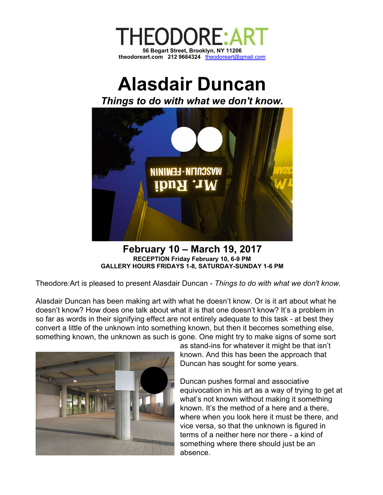

## **Alasdair Duncan**

*Things to do with what we don't know.*



**February 10 – March 19, 2017 RECEPTION Friday February 10, 6-9 PM GALLERY HOURS FRIDAYS 1-8, SATURDAY-SUNDAY 1-6 PM**

Theodore:Art is pleased to present Alasdair Duncan - *Things to do with what we don't know.*

Alasdair Duncan has been making art with what he doesn't know. Or is it art about what he doesn't know? How does one talk about what it is that one doesn't know? It's a problem in so far as words in their signifying effect are not entirely adequate to this task - at best they convert a little of the unknown into something known, but then it becomes something else, something known, the unknown as such is gone. One might try to make signs of some sort



as stand-ins for whatever it might be that isn't known. And this has been the approach that Duncan has sought for some years.

Duncan pushes formal and associative equivocation in his art as a way of trying to get at what's not known without making it something known. It's the method of a here and a there, where when you look here it must be there, and vice versa, so that the unknown is figured in terms of a neither here nor there - a kind of something where there should just be an absence.